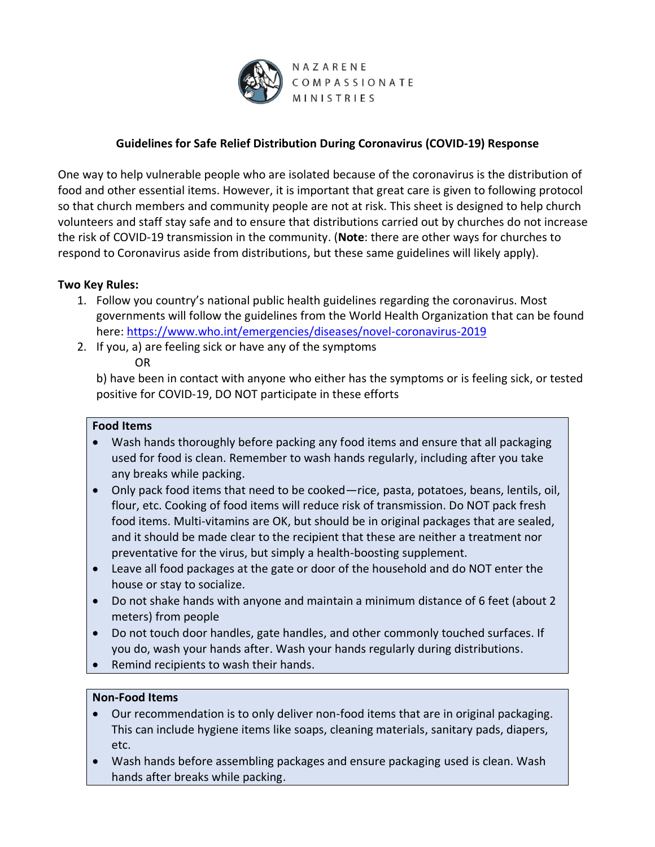

NAZARENE COMPASSIONATE **MINISTRIES** 

# **Guidelines for Safe Relief Distribution During Coronavirus (COVID-19) Response**

One way to help vulnerable people who are isolated because of the coronavirus is the distribution of food and other essential items. However, it is important that great care is given to following protocol so that church members and community people are not at risk. This sheet is designed to help church volunteers and staff stay safe and to ensure that distributions carried out by churches do not increase the risk of COVID-19 transmission in the community. (**Note**: there are other ways for churches to respond to Coronavirus aside from distributions, but these same guidelines will likely apply).

### **Two Key Rules:**

- 1. Follow you country's national public health guidelines regarding the coronavirus. Most governments will follow the guidelines from the World Health Organization that can be found here:<https://www.who.int/emergencies/diseases/novel-coronavirus-2019>
- 2. If you, a) are feeling sick or have any of the symptoms

### OR

b) have been in contact with anyone who either has the symptoms or is feeling sick, or tested positive for COVID-19, DO NOT participate in these efforts

#### **Food Items**

- Wash hands thoroughly before packing any food items and ensure that all packaging used for food is clean. Remember to wash hands regularly, including after you take any breaks while packing.
- Only pack food items that need to be cooked—rice, pasta, potatoes, beans, lentils, oil, flour, etc. Cooking of food items will reduce risk of transmission. Do NOT pack fresh food items. Multi-vitamins are OK, but should be in original packages that are sealed, and it should be made clear to the recipient that these are neither a treatment nor preventative for the virus, but simply a health-boosting supplement.
- Leave all food packages at the gate or door of the household and do NOT enter the house or stay to socialize.
- Do not shake hands with anyone and maintain a minimum distance of 6 feet (about 2 meters) from people
- Do not touch door handles, gate handles, and other commonly touched surfaces. If you do, wash your hands after. Wash your hands regularly during distributions.
- Remind recipients to wash their hands.

# **Non-Food Items**

- Our recommendation is to only deliver non-food items that are in original packaging. This can include hygiene items like soaps, cleaning materials, sanitary pads, diapers, etc.
- Wash hands before assembling packages and ensure packaging used is clean. Wash hands after breaks while packing.